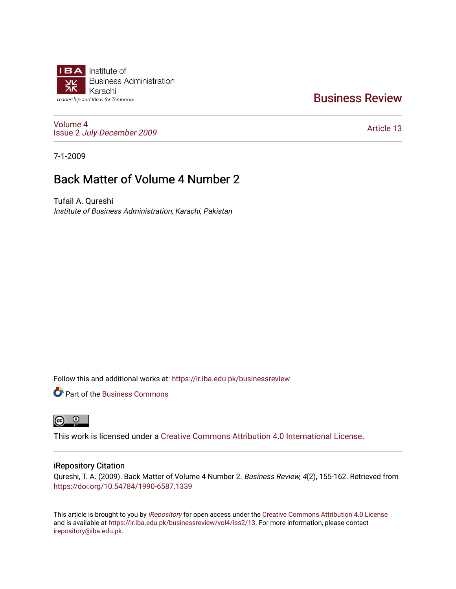

# [Business Review](https://ir.iba.edu.pk/businessreview)

[Volume 4](https://ir.iba.edu.pk/businessreview/vol4) Issue 2 [July-December 2009](https://ir.iba.edu.pk/businessreview/vol4/iss2)

[Article 13](https://ir.iba.edu.pk/businessreview/vol4/iss2/13) 

7-1-2009

# Back Matter of Volume 4 Number 2

Tufail A. Qureshi Institute of Business Administration, Karachi, Pakistan

Follow this and additional works at: [https://ir.iba.edu.pk/businessreview](https://ir.iba.edu.pk/businessreview?utm_source=ir.iba.edu.pk%2Fbusinessreview%2Fvol4%2Fiss2%2F13&utm_medium=PDF&utm_campaign=PDFCoverPages) 

**P** Part of the [Business Commons](http://network.bepress.com/hgg/discipline/622?utm_source=ir.iba.edu.pk%2Fbusinessreview%2Fvol4%2Fiss2%2F13&utm_medium=PDF&utm_campaign=PDFCoverPages)



This work is licensed under a [Creative Commons Attribution 4.0 International License](https://creativecommons.org/licenses/by/4.0/).

# iRepository Citation

Qureshi, T. A. (2009). Back Matter of Volume 4 Number 2. Business Review, 4(2), 155-162. Retrieved from <https://doi.org/10.54784/1990-6587.1339>

This article is brought to you by [iRepository](https://ir.iba.edu.pk/) for open access under the Creative Commons Attribution 4.0 License and is available at [https://ir.iba.edu.pk/businessreview/vol4/iss2/13.](https://ir.iba.edu.pk/businessreview/vol4/iss2/13) For more information, please contact [irepository@iba.edu.pk.](mailto:irepository@iba.edu.pk)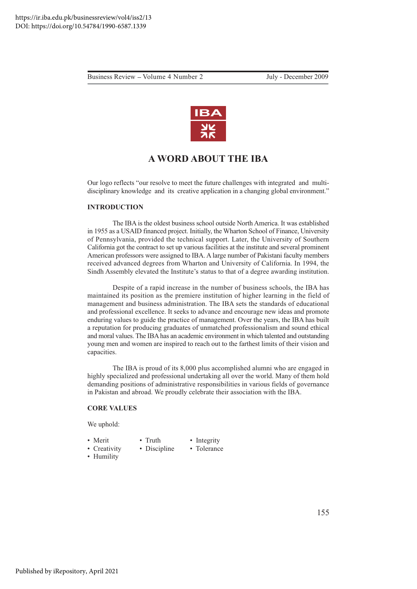

# **A WORD ABOUT THE IBA**

Our logo reflects "our resolve to meet the future challenges with integrated and multidisciplinary knowledge and its creative application in a changing global environment."

# **INTRODUCTION**

The IBA is the oldest business school outside North America. It was established in 1955 as a USAID financed project. Initially, the Wharton School of Finance, University of Pennsylvania, provided the technical support. Later, the University of Southern California got the contract to set up various facilities at the institute and several prominent American professors were assigned to IBA. A large number of Pakistani faculty members received advanced degrees from Wharton and University of California. In 1994, the Sindh Assembly elevated the Institute's status to that of a degree awarding institution.

Despite of a rapid increase in the number of business schools, the IBA has maintained its position as the premiere institution of higher learning in the field of management and business administration. The IBA sets the standards of educational and professional excellence. It seeks to advance and encourage new ideas and promote enduring values to guide the practice of management. Over the years, the IBA has built a reputation for producing graduates of unmatched professionalism and sound ethical and moral values. The IBA has an academic environment in which talented and outstanding young men and women are inspired to reach out to the farthest limits of their vision and capacities.

The IBA is proud of its 8,000 plus accomplished alumni who are engaged in highly specialized and professional undertaking all over the world. Many of them hold demanding positions of administrative responsibilities in various fields of governance in Pakistan and abroad. We proudly celebrate their association with the IBA.

#### **CORE VALUES**

We uphold:

- Merit
- Integrity

• Creativity

- Tolerance
- Discipline • Humility

 $\bullet$  Truth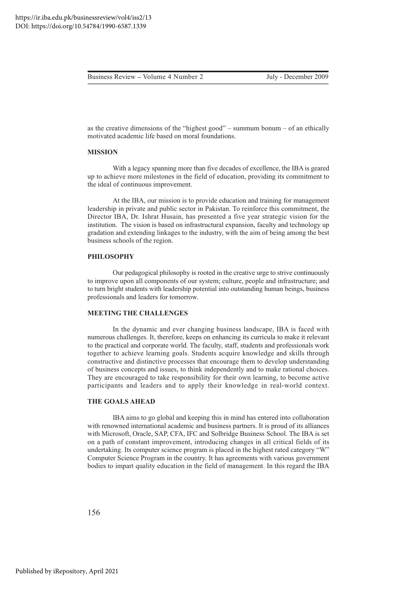as the creative dimensions of the "highest good" – summum bonum – of an ethically motivated academic life based on moral foundations.

#### **MISSION**

With a legacy spanning more than five decades of excellence, the IBA is geared up to achieve more milestones in the field of education, providing its commitment to the ideal of continuous improvement.

At the IBA, our mission is to provide education and training for management leadership in private and public sector in Pakistan. To reinforce this commitment, the Director IBA, Dr. Ishrat Husain, has presented a five year strategic vision for the institution. The vision is based on infrastructural expansion, faculty and technology up gradation and extending linkages to the industry, with the aim of being among the best business schools of the region.

#### **PHILOSOPHY**

Our pedagogical philosophy is rooted in the creative urge to strive continuously to improve upon all components of our system; culture, people and infrastructure; and to turn bright students with leadership potential into outstanding human beings, business professionals and leaders for tomorrow.

### **MEETING THE CHALLENGES**

In the dynamic and ever changing business landscape, IBA is faced with numerous challenges. It, therefore, keeps on enhancing its curricula to make it relevant to the practical and corporate world. The faculty, staff, students and professionals work together to achieve learning goals. Students acquire knowledge and skills through constructive and distinctive processes that encourage them to develop understanding of business concepts and issues, to think independently and to make rational choices. They are encouraged to take responsibility for their own learning, to become active participants and leaders and to apply their knowledge in real-world context.

# **THE GOALS AHEAD**

IBA aims to go global and keeping this in mind has entered into collaboration with renowned international academic and business partners. It is proud of its alliances with Microsoft, Oracle, SAP, CFA, IFC and Solbridge Business School. The IBA is set on a path of constant improvement, introducing changes in all critical fields of its undertaking. Its computer science program is placed in the highest rated category "W" Computer Science Program in the country. It has agreements with various government bodies to impart quality education in the field of management. In this regard the IBA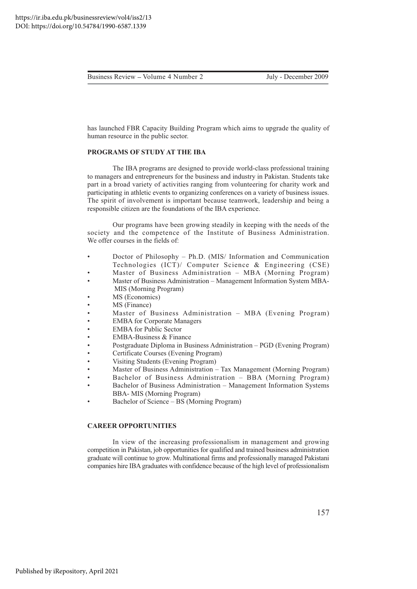has launched FBR Capacity Building Program which aims to upgrade the quality of human resource in the public sector.

#### PROGRAMS OF STUDY AT THE IBA

The IBA programs are designed to provide world-class professional training to managers and entrepreneurs for the business and industry in Pakistan. Students take part in a broad variety of activities ranging from volunteering for charity work and participating in athletic events to organizing conferences on a variety of business issues. The spirit of involvement is important because teamwork, leadership and being a responsible citizen are the foundations of the IBA experience.

Our programs have been growing steadily in keeping with the needs of the society and the competence of the Institute of Business Administration. We offer courses in the fields of:

- Doctor of Philosophy Ph.D. (MIS/ Information and Communication  $\bullet$ Technologies (ICT)/ Computer Science & Engineering (CSE)
- Master of Business Administration MBA (Morning Program)
- Master of Business Administration Management Information System MBA-MIS (Morning Program)
- MS (Economics)
- MS (Finance)
- Master of Business Administration MBA (Evening Program)
- **EMBA** for Corporate Managers
- **EMBA** for Public Sector
- **EMBA-Business & Finance**
- Postgraduate Diploma in Business Administration PGD (Evening Program)
- Certificate Courses (Evening Program)
- Visiting Students (Evening Program)
- Master of Business Administration Tax Management (Morning Program)
- Bachelor of Business Administration BBA (Morning Program)
- Bachelor of Business Administration Management Information Systems  $\bullet$ **BBA-MIS** (Morning Program)
- Bachelor of Science BS (Morning Program)

### **CAREER OPPORTUNITIES**

In view of the increasing professionalism in management and growing competition in Pakistan, job opportunities for qualified and trained business administration graduate will continue to grow. Multinational firms and professionally managed Pakistani companies hire IBA graduates with confidence because of the high level of professionalism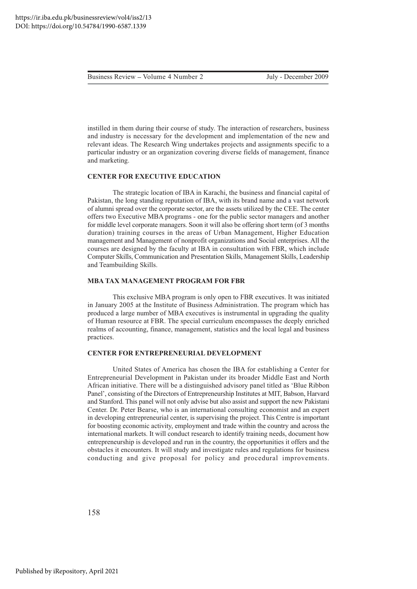July - December 2009

instilled in them during their course of study. The interaction of researchers, business and industry is necessary for the development and implementation of the new and relevant ideas. The Research Wing undertakes projects and assignments specific to a particular industry or an organization covering diverse fields of management, finance and marketing.

#### **CENTER FOR EXECUTIVE EDUCATION**

The strategic location of IBA in Karachi, the business and financial capital of Pakistan, the long standing reputation of IBA, with its brand name and a vast network of alumni spread over the corporate sector, are the assets utilized by the CEE. The center offers two Executive MBA programs - one for the public sector managers and another for middle level corporate managers. Soon it will also be offering short term (of 3 months duration) training courses in the areas of Urban Management, Higher Education management and Management of nonprofit organizations and Social enterprises. All the courses are designed by the faculty at IBA in consultation with FBR, which include Computer Skills, Communication and Presentation Skills, Management Skills, Leadership and Teambuilding Skills.

#### **MBA TAX MANAGEMENT PROGRAM FOR FBR**

This exclusive MBA program is only open to FBR executives. It was initiated in January 2005 at the Institute of Business Administration. The program which has produced a large number of MBA executives is instrumental in upgrading the quality of Human resource at FBR. The special curriculum encompasses the deeply enriched realms of accounting, finance, management, statistics and the local legal and business practices.

#### **CENTER FOR ENTREPRENEURIAL DEVELOPMENT**

United States of America has chosen the IBA for establishing a Center for Entrepreneurial Development in Pakistan under its broader Middle East and North African initiative. There will be a distinguished advisory panel titled as 'Blue Ribbon Panel', consisting of the Directors of Entrepreneurship Institutes at MIT, Babson, Harvard and Stanford. This panel will not only advise but also assist and support the new Pakistani Center. Dr. Peter Bearse, who is an international consulting economist and an expert in developing entrepreneurial center, is supervising the project. This Centre is important for boosting economic activity, employment and trade within the country and across the international markets. It will conduct research to identify training needs, document how entrepreneurship is developed and run in the country, the opportunities it offers and the obstacles it encounters. It will study and investigate rules and regulations for business conducting and give proposal for policy and procedural improvements.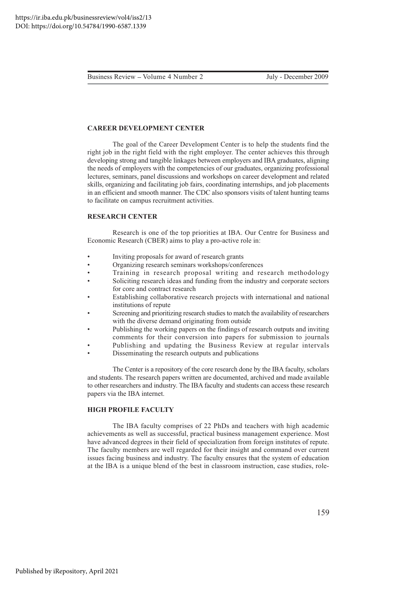## **CAREER DEVELOPMENT CENTER**

The goal of the Career Development Center is to help the students find the right job in the right field with the right employer. The center achieves this through developing strong and tangible linkages between employers and IBA graduates, aligning the needs of employers with the competencies of our graduates, organizing professional lectures, seminars, panel discussions and workshops on career development and related skills, organizing and facilitating job fairs, coordinating internships, and job placements in an efficient and smooth manner. The CDC also sponsors visits of talent hunting teams to facilitate on campus recruitment activities.

#### **RESEARCH CENTER**

Research is one of the top priorities at IBA. Our Centre for Business and Economic Research (CBER) aims to play a pro-active role in:

- Inviting proposals for award of research grants
- $\overline{a}$ Organizing research seminars workshops/conferences
- Training in research proposal writing and research methodology
- Soliciting research ideas and funding from the industry and corporate sectors for core and contract research
- Establishing collaborative research projects with international and national institutions of repute
- Screening and prioritizing research studies to match the availability of researchers with the diverse demand originating from outside
- Publishing the working papers on the findings of research outputs and inviting comments for their conversion into papers for submission to journals
- Publishing and updating the Business Review at regular intervals
- Disseminating the research outputs and publications

The Center is a repository of the core research done by the IBA faculty, scholars and students. The research papers written are documented, archived and made available to other researchers and industry. The IBA faculty and students can access these research papers via the IBA internet.

#### **HIGH PROFILE FACULTY**

The IBA faculty comprises of 22 PhDs and teachers with high academic achievements as well as successful, practical business management experience. Most have advanced degrees in their field of specialization from foreign institutes of repute. The faculty members are well regarded for their insight and command over current issues facing business and industry. The faculty ensures that the system of education at the IBA is a unique blend of the best in classroom instruction, case studies, role-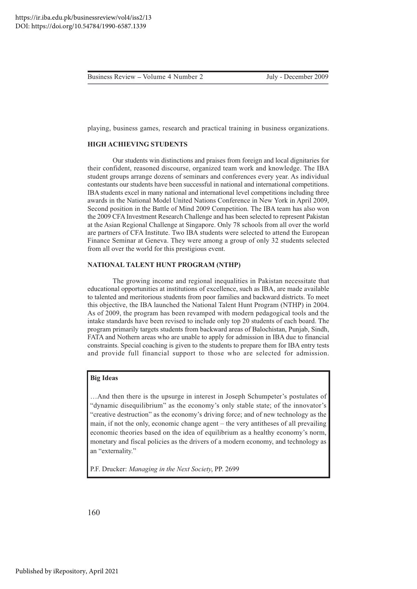playing, business games, research and practical training in business organizations.

# **HIGH ACHIEVING STUDENTS**

Our students win distinctions and praises from foreign and local dignitaries for their confident, reasoned discourse, organized team work and knowledge. The IBA student groups arrange dozens of seminars and conferences every year. As individual contestants our students have been successful in national and international competitions. IBA students excel in many national and international level competitions including three awards in the National Model United Nations Conference in New York in April 2009, Second position in the Battle of Mind 2009 Competition. The IBA team has also won the 2009 CFA Investment Research Challenge and has been selected to represent Pakistan at the Asian Regional Challenge at Singapore. Only 78 schools from all over the world are partners of CFA Institute. Two IBA students were selected to attend the European Finance Seminar at Geneva. They were among a group of only 32 students selected from all over the world for this prestigious event.

#### **NATIONAL TALENT HUNT PROGRAM (NTHP)**

The growing income and regional inequalities in Pakistan necessitate that educational opportunities at institutions of excellence, such as IBA, are made available to talented and meritorious students from poor families and backward districts. To meet this objective, the IBA launched the National Talent Hunt Program (NTHP) in 2004. As of 2009, the program has been revamped with modern pedagogical tools and the intake standards have been revised to include only top 20 students of each board. The program primarily targets students from backward areas of Balochistan, Punjab, Sindh, FATA and Nothern areas who are unable to apply for admission in IBA due to financial constraints. Special coaching is given to the students to prepare them for IBA entry tests and provide full financial support to those who are selected for admission.

#### **Big Ideas**

...And then there is the upsurge in interest in Joseph Schumpeter's postulates of "dynamic disequilibrium" as the economy's only stable state; of the innovator's "creative destruction" as the economy's driving force; and of new technology as the main, if not the only, economic change agent – the very antitheses of all prevailing economic theories based on the idea of equilibrium as a healthy economy's norm, monetary and fiscal policies as the drivers of a modern economy, and technology as an "externality."

P.F. Drucker: Managing in the Next Society, PP. 2699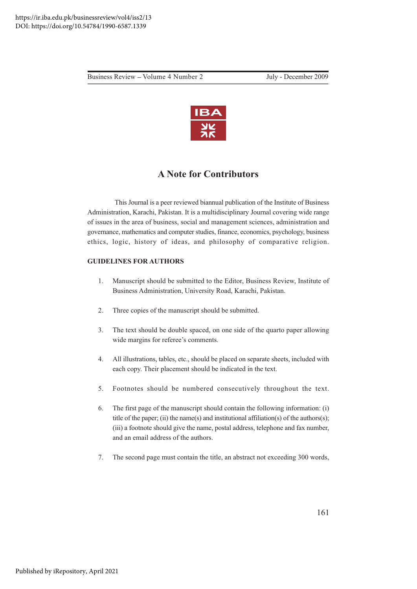Business Review – Volume 4 Number 2 July - December 2009



# **A Note for Contributors**

This Journal is a peer reviewed biannual publication of the Institute of Business Administration, Karachi, Pakistan. It is a multidisciplinary Journal covering wide range of issues in the area of business, social and management sciences, administration and governance, mathematics and computer studies, finance, economics, psychology, business ethics, logic, history of ideas, and philosophy of comparative religion.

# **GUIDELINES FOR AUTHORS**

- 1. Manuscript should be submitted to the Editor, Business Review, Institute of Business Administration, University Road, Karachi, Pakistan.
- 2. Three copies of the manuscript should be submitted.
- 3. The text should be double spaced, on one side of the quarto paper allowing wide margins for referee's comments.
- 4. All illustrations, tables, etc., should be placed on separate sheets, included with each copy. Their placement should be indicated in the text.
- 5. Footnotes should be numbered consecutively throughout the text.
- 6. The first page of the manuscript should contain the following information: (i) title of the paper; (ii) the name(s) and institutional affiliation(s) of the authors(s); (iii) a footnote should give the name, postal address, telephone and fax number, and an email address of the authors.
- 7. The second page must contain the title, an abstract not exceeding 300 words,